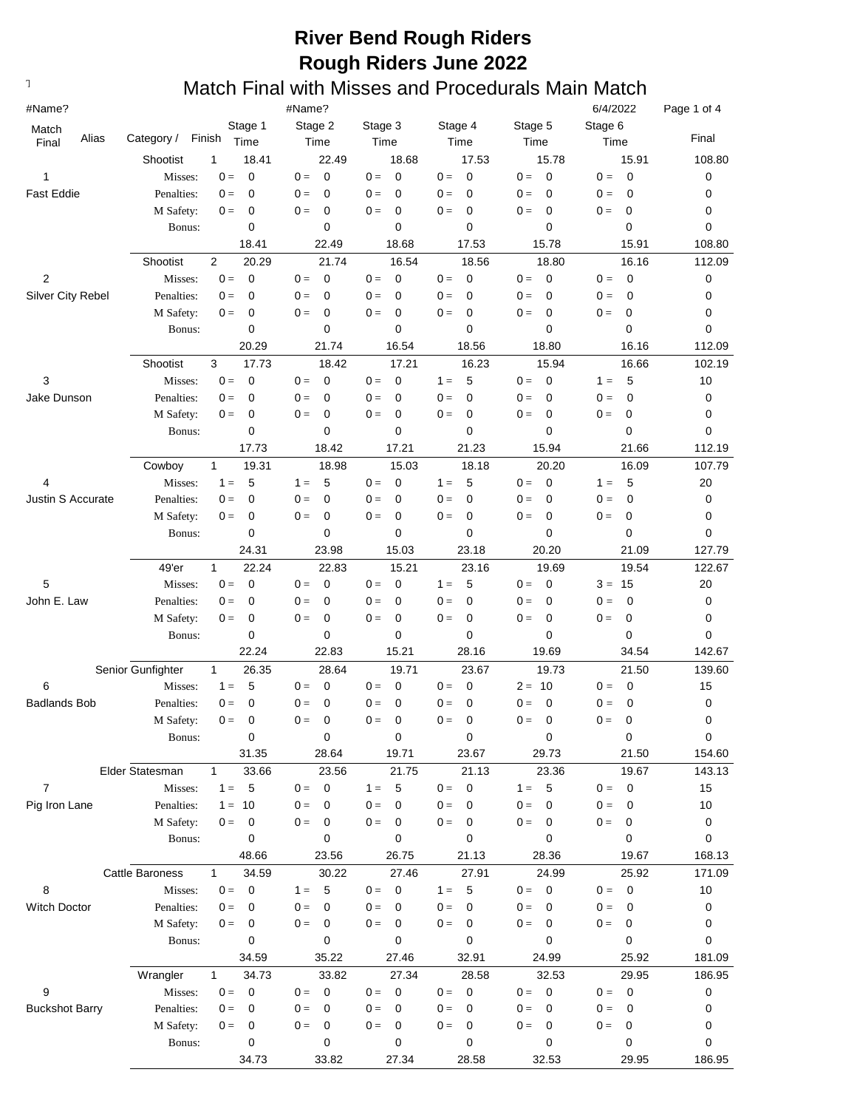| #Name?                   |                        |                                                 | #Name?                           |                               |                               |                                  | 6/4/2022                               | Page 1 of 4  |
|--------------------------|------------------------|-------------------------------------------------|----------------------------------|-------------------------------|-------------------------------|----------------------------------|----------------------------------------|--------------|
| Match                    |                        | Stage 1                                         | Stage 2                          | Stage 3                       | Stage 4                       | Stage 5                          | Stage 6                                |              |
| Alias<br>Final           | Category /             | Finish<br>Time                                  | Time                             | Time                          | Time                          | Time                             | Time                                   | Final        |
|                          | Shootist               | 1<br>18.41                                      | 22.49                            | 18.68                         | 17.53                         | 15.78                            | 15.91                                  | 108.80       |
| 1                        | Misses:                | $\mathbf 0$<br>$0 =$                            | $\mathbf 0$<br>$0 =$             | $0 =$<br>0                    | $0 =$<br>0                    | $\overline{0}$<br>$0 =$          | $\overline{0}$<br>$0 =$                | 0            |
| <b>Fast Eddie</b>        | Penalties:             | $\mathbf 0$<br>$0 =$                            | $0 =$<br>0                       | $0 =$<br>0                    | $\mathbf 0$<br>$0 =$          | $\mathbf 0$<br>$0 =$             | $0 =$<br>$\mathbf 0$                   | 0            |
|                          | M Safety:              | 0<br>$0 =$                                      | $\mathbf 0$<br>$0 =$             | $0 =$<br>$\mathbf 0$          | $0 =$<br>0                    | $\mathbf 0$<br>$0 =$             | 0<br>$0 =$                             | 0            |
|                          | Bonus:                 | 0                                               | 0                                | 0                             | 0                             | 0                                | 0                                      | 0            |
|                          |                        | 18.41                                           | 22.49                            | 18.68                         | 17.53                         | 15.78                            | 15.91                                  | 108.80       |
|                          | Shootist               | $\overline{2}$<br>20.29<br>$0 =$<br>$\mathbf 0$ | 21.74<br>$0 =$                   | 16.54<br>$0 =$                | 18.56<br>$\mathbf 0$<br>$0 =$ | 18.80<br>$0 =$                   | 16.16<br>$0 =$                         | 112.09       |
| 2<br>Silver City Rebel   | Misses:<br>Penalties:  | 0<br>$0 =$                                      | 0<br>0<br>$0 =$                  | $\mathbf 0$<br>$0 =$<br>0     | $0 =$<br>0                    | 0<br>$0 =$<br>0                  | $\overline{0}$<br>$0 =$<br>$\mathbf 0$ | 0<br>0       |
|                          | M Safety:              | 0<br>$0 =$                                      | 0<br>$0 =$                       | $0 =$<br>0                    | $0 =$<br>0                    | $0 =$<br>0                       | 0<br>$0 =$                             | 0            |
|                          | Bonus:                 | 0                                               | 0                                | 0                             | 0                             | 0                                | 0                                      | 0            |
|                          |                        | 20.29                                           | 21.74                            | 16.54                         | 18.56                         | 18.80                            | 16.16                                  | 112.09       |
|                          | Shootist               | 3<br>17.73                                      | 18.42                            | 17.21                         | 16.23                         | 15.94                            | 16.66                                  | 102.19       |
| 3                        | Misses:                | $0 =$<br>$\mathbf 0$                            | $\mathbf 0$<br>$0 =$             | $0 =$<br>$\mathbf 0$          | 5<br>$1 =$                    | $0 =$<br>$\mathbf 0$             | 5<br>$1 =$                             | 10           |
| Jake Dunson              | Penalties:             | 0<br>$0 =$                                      | $0 =$<br>$\mathbf 0$             | $0 =$<br>0                    | $\mathbf 0$<br>$0 =$          | $\mathbf 0$<br>$0 =$             | $\mathbf 0$<br>$0 =$                   | 0            |
|                          | M Safety:              | 0<br>$0 =$                                      | $\mathbf 0$<br>$0 =$             | $0 =$<br>$\mathbf 0$          | $0 =$<br>0                    | $\mathbf 0$<br>$0 =$             | $0 =$<br>0                             | 0            |
|                          | Bonus:                 | 0                                               | 0                                | 0                             | 0                             | 0                                | 0                                      | 0            |
|                          |                        | 17.73                                           | 18.42                            | 17.21                         | 21.23                         | 15.94                            | 21.66                                  | 112.19       |
|                          | Cowboy                 | $\mathbf{1}$<br>19.31                           | 18.98                            | 15.03                         | 18.18                         | 20.20                            | 16.09                                  | 107.79       |
| 4                        | Misses:                | $1 =$<br>5                                      | $1 =$<br>5                       | $0 =$<br>$\mathbf 0$          | $1 =$<br>5                    | $0 =$<br>$\mathbf 0$             | 5<br>$1 =$                             | 20           |
| <b>Justin S Accurate</b> | Penalties:             | 0<br>$0 =$                                      | $0 =$<br>$\mathbf 0$             | $0 =$<br>$\mathbf 0$          | $0 =$<br>0                    | $0 =$<br>$\mathbf 0$             | 0<br>$0 =$                             | 0            |
|                          | M Safety:              | 0<br>$0 =$                                      | 0<br>$0 =$                       | $0 =$<br>0                    | $0 =$<br>0                    | $0 =$<br>0                       | $0 =$<br>0                             | 0            |
|                          | Bonus:                 | 0                                               | 0                                | 0                             | 0                             | 0                                | 0                                      | 0            |
|                          |                        | 24.31                                           | 23.98                            | 15.03                         | 23.18                         | 20.20                            | 21.09                                  | 127.79       |
|                          | 49'er                  | $\mathbf{1}$<br>22.24                           | 22.83                            | 15.21                         | 23.16                         | 19.69                            | 19.54                                  | 122.67       |
| 5                        | Misses:                | $0 =$<br>$\mathbf 0$                            | $\mathbf 0$<br>$0 =$             | $0 =$<br>$\mathbf 0$          | 5<br>$1 =$                    | $\mathbf 0$<br>$0 =$             | 15<br>$3 =$                            | 20           |
| John E. Law              | Penalties:             | $\mathbf 0$<br>$0 =$                            | $\mathbf 0$<br>$0 =$             | $0 =$<br>0                    | $\mathbf 0$<br>$0 =$          | $\mathbf 0$<br>$0 =$             | $\mathbf 0$<br>$0 =$                   | 0            |
|                          | M Safety:              | $\mathbf 0$<br>$0 =$                            | $\mathbf 0$<br>$0 =$             | $\mathbf 0$<br>$0 =$          | $\mathbf 0$<br>$0 =$          | $\mathbf 0$<br>$0 =$             | $0 =$<br>0                             | 0            |
|                          | Bonus:                 | $\mathbf 0$                                     | 0                                | 0                             | 0                             | 0                                | 0                                      | 0            |
|                          | Senior Gunfighter      | 22.24                                           | 22.83                            | 15.21                         | 28.16                         | 19.69                            | 34.54                                  | 142.67       |
|                          |                        | 26.35<br>$\mathbf{1}$<br>5<br>$1 =$             | 28.64<br>0<br>$0 =$              | 19.71<br>$0 =$<br>$\mathbf 0$ | 23.67<br>$0 =$<br>$\mathbf 0$ | 19.73<br>$2 =$<br>10             | 21.50<br>0<br>$0 =$                    | 139.60<br>15 |
| 6<br><b>Badlands Bob</b> | Misses:<br>Penalties:  | $\mathbf 0$<br>$0 =$                            | 0<br>$0 =$                       | 0<br>$0 =$                    | $0 =$<br>0                    | 0<br>$0 =$                       | 0<br>$0 =$                             | 0            |
|                          | M Safety:              | $0 =$<br>$\mathbf 0$                            | $0 =$<br>0                       | $0 =$<br>$\Omega$             | $0 =$<br>$\Omega$             | $0 =$<br>$\mathbf 0$             | $0 =$<br>0                             | $\mathbf 0$  |
|                          | Bonus:                 | 0                                               | 0                                | 0                             | 0                             | 0                                | 0                                      | 0            |
|                          |                        | 31.35                                           | 28.64                            | 19.71                         | 23.67                         | 29.73                            | 21.50                                  | 154.60       |
|                          | Elder Statesman        | 33.66<br>1                                      | 23.56                            | 21.75                         | 21.13                         | 23.36                            | 19.67                                  | 143.13       |
| $\overline{7}$           | Misses:                | $\overline{5}$<br>$1 =$                         | $\overline{\mathbf{0}}$<br>$0 =$ | $1 =$<br>5                    | $\mathbf 0$<br>$0 =$          | $-5$<br>$1 =$                    | $\mathbf 0$<br>$0 =$                   | 15           |
| Pig Iron Lane            | Penalties:             | $1 =$<br>10                                     | $0 =$<br>0                       | $0 =$<br>0                    | $0 =$<br>0                    | $0 =$<br>0                       | $0 =$<br>0                             | 10           |
|                          | M Safety:              | 0<br>$0 =$                                      | $0 =$<br>0                       | $0 =$<br>0                    | $0 =$<br>0                    | $\mathbf 0$<br>$0 =$             | $0 =$<br>0                             | 0            |
|                          | Bonus:                 | 0                                               | 0                                | 0                             | 0                             | 0                                | 0                                      | 0            |
|                          |                        | 48.66                                           | 23.56                            | 26.75                         | 21.13                         | 28.36                            | 19.67                                  | 168.13       |
|                          | <b>Cattle Baroness</b> | 34.59<br>$\mathbf{1}$                           | 30.22                            | 27.46                         | 27.91                         | 24.99                            | 25.92                                  | 171.09       |
| 8                        | Misses:                | $0 =$<br>$\mathbf 0$                            | - 5<br>$1 =$                     | $0 = 0$                       | - 5<br>$1 =$                  | $0 = 0$                          | $\overline{\mathbf{0}}$<br>$0 =$       | 10           |
| Witch Doctor             | Penalties:             | 0<br>$0 =$                                      | $0 =$<br>0                       | $0 =$<br>0                    | $0 =$<br>0                    | $0 =$<br>0                       | $0 =$<br>0                             | 0            |
|                          | M Safety:              | $0 =$<br>0                                      | $0 =$<br>0                       | $0 =$<br>0                    | $0 =$<br>0                    | 0<br>$0 =$                       | $0 =$<br>0                             | 0            |
|                          | Bonus:                 | 0                                               | 0                                | 0                             | 0                             | 0                                | 0                                      | 0            |
|                          |                        | 34.59                                           | 35.22                            | 27.46                         | 32.91                         | 24.99                            | 25.92                                  | 181.09       |
|                          | Wrangler               | 34.73<br>$\mathbf{1}$                           | 33.82                            | 27.34                         | 28.58                         | 32.53                            | 29.95                                  | 186.95       |
| 9                        | Misses:                | 0<br>$0 =$                                      | $\mathbf 0$<br>$0 =$             | $0 =$<br>0                    | $\mathbf 0$<br>$0 =$          | $\overline{\mathbf{0}}$<br>$0 =$ | $\overline{\mathbf{0}}$<br>$0 =$       | 0            |
| <b>Buckshot Barry</b>    | Penalties:             | $0 =$<br>0                                      | $0 =$<br>0                       | $0 =$<br>0                    | $0 =$<br>0                    | $0 =$<br>0                       | $0 =$<br>0                             | 0            |
|                          | M Safety:              | 0<br>$0 =$                                      | $0 =$<br>0                       | $0 =$<br>0                    | $0 =$<br>0                    | 0<br>$0 =$                       | $0 =$<br>0                             | 0            |
|                          | Bonus:                 | 0                                               | 0                                | 0                             | 0                             | 0                                | 0                                      | 0            |
|                          |                        | 34.73                                           | 33.82                            | 27.34                         | 28.58                         | 32.53                            | 29.95                                  | 186.95       |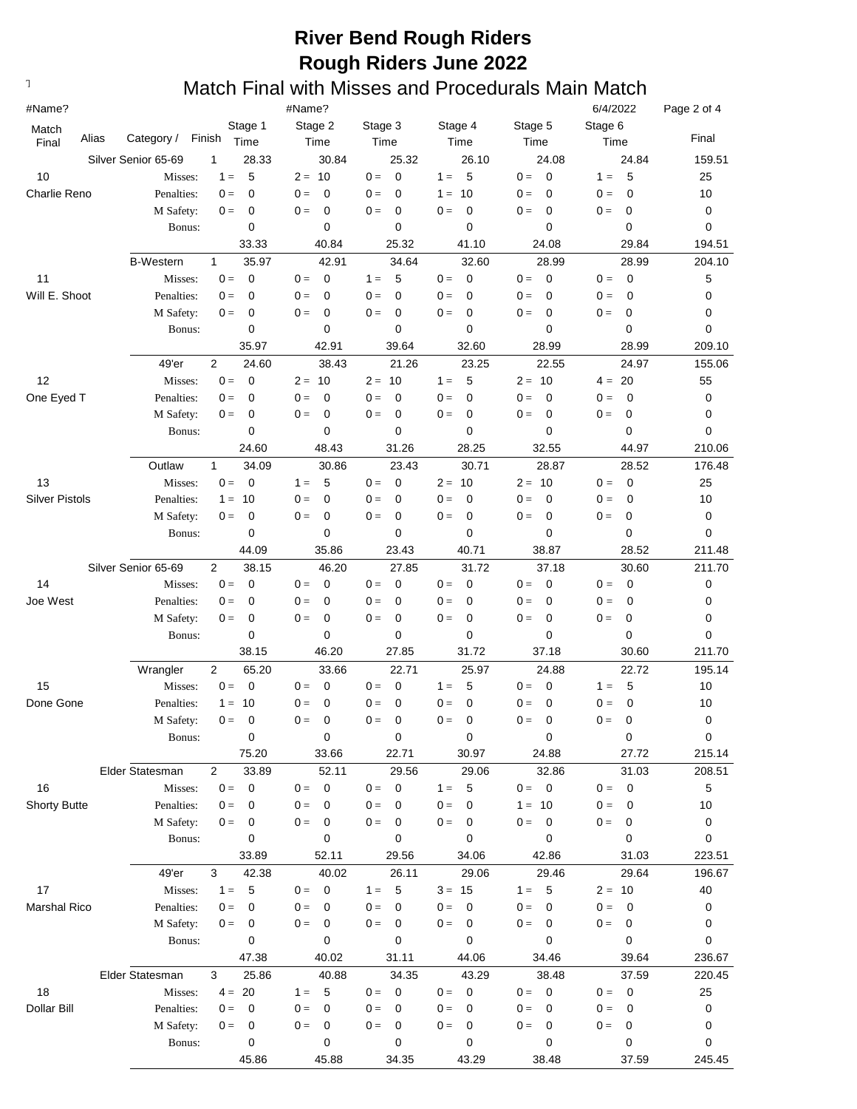| #Name?                  |                     |                           | #Name?               |                      |                      |                         | 6/4/2022                | Page 2 of 4 |
|-------------------------|---------------------|---------------------------|----------------------|----------------------|----------------------|-------------------------|-------------------------|-------------|
| Match<br>Alias<br>Final | Category /          | Stage 1<br>Finish<br>Time | Stage 2<br>Time      | Stage 3<br>Time      | Stage 4<br>Time      | Stage 5<br>Time         | Stage 6<br>Time         | Final       |
|                         | Silver Senior 65-69 | 1<br>28.33                | 30.84                | 25.32                | 26.10                | 24.08                   | 24.84                   | 159.51      |
| 10                      | Misses:             | 5<br>$1 =$                | $2 = 10$             | $0 =$<br>0           | 5<br>$1 =$           | $\overline{0}$<br>$0 =$ | 5<br>$1 =$              | 25          |
| <b>Charlie Reno</b>     | Penalties:          | $\mathbf 0$<br>$0 =$      | $\mathbf 0$<br>$0 =$ | $0 =$<br>0           | 10<br>$1 =$          | $0 =$<br>0              | $\mathbf 0$<br>$0 =$    | 10          |
|                         | M Safety:           | $\mathbf 0$<br>$0 =$      | $\mathbf 0$<br>$0 =$ | $0 =$<br>0           | $\mathbf 0$<br>$0 =$ | 0<br>$0 =$              | 0<br>$0 =$              | 0           |
|                         | Bonus:              | 0                         | 0                    | 0                    | 0                    | $\mathbf 0$             | 0                       | 0           |
|                         |                     | 33.33                     | 40.84                | 25.32                | 41.10                | 24.08                   | 29.84                   | 194.51      |
|                         | <b>B-Western</b>    | 35.97<br>$\mathbf{1}$     | 42.91                | 34.64                | 32.60                | 28.99                   | 28.99                   | 204.10      |
| 11                      | Misses:             | $\mathbf 0$<br>$0 =$      | $0 =$<br>0           | $1 =$<br>5           | $\mathbf 0$<br>$0 =$ | $\mathbf 0$<br>$0 =$    | $0 =$<br>$\mathbf 0$    | 5           |
| Will E. Shoot           | Penalties:          | 0<br>$0 =$                | $0 =$<br>0           | $0 =$<br>0           | $0 =$<br>0           | $0 =$<br>0              | $0 =$<br>0              | 0           |
|                         | M Safety:           | 0<br>$0 =$                | 0<br>$0 =$           | $0 =$<br>$\mathbf 0$ | $\mathbf 0$<br>$0 =$ | $0 =$<br>0              | $0 =$<br>0              | 0           |
|                         | Bonus:              | 0                         | 0                    | 0                    | 0                    | $\mathbf 0$             | 0                       | 0           |
|                         |                     | 35.97                     | 42.91                | 39.64                | 32.60                | 28.99                   | 28.99                   | 209.10      |
|                         | 49'er               | $\overline{2}$<br>24.60   | 38.43                | 21.26                | 23.25                | 22.55                   | 24.97                   | 155.06      |
| 12                      | Misses:             | $0 =$<br>$\mathbf 0$      | $2 = 10$             | $2 = 10$             | 5<br>$1 =$           | $2 = 10$                | 20<br>$4 =$             | 55          |
| One Eyed T              | Penalties:          | $0 =$<br>0                | $0 =$<br>0           | $0 =$<br>0           | $\mathbf 0$<br>$0 =$ | $\mathbf 0$<br>$0 =$    | $\mathbf 0$<br>$0 =$    | 0           |
|                         | M Safety:           | $\mathbf 0$<br>$0 =$      | $\mathbf 0$<br>$0 =$ | $0 =$<br>$\mathbf 0$ | $\mathbf 0$<br>$0 =$ | $\mathbf 0$<br>$0 =$    | $0 =$<br>$\mathbf 0$    | 0           |
|                         | Bonus:              | 0                         | 0                    | 0                    | 0                    | $\mathbf 0$             | 0                       | 0           |
|                         |                     | 24.60                     | 48.43                | 31.26                | 28.25                | 32.55                   | 44.97                   | 210.06      |
|                         | Outlaw              | $\mathbf{1}$<br>34.09     | 30.86                | 23.43                | 30.71                | 28.87                   | 28.52                   | 176.48      |
| 13                      | Misses:             | $0 =$<br>$\mathbf 0$      | 5<br>$1 =$           | $0 =$<br>$\mathbf 0$ | $2 = 10$             | $2 = 10$                | $0 =$<br>$\overline{0}$ | 25          |
| <b>Silver Pistols</b>   | Penalties:          | 10<br>$1 =$               | 0<br>$0 =$           | $0 =$<br>0           | $0 =$<br>0           | $0 =$<br>0              | $0 =$<br>$\mathbf 0$    | 10          |
|                         | M Safety:           | $\mathbf 0$<br>$0 =$      | 0<br>$0 =$           | $0 =$<br>0           | $0 =$<br>0           | $0 =$<br>0              | $0 =$<br>0              | 0           |
|                         | Bonus:              | $\mathbf 0$               | 0                    | 0                    | 0                    | 0                       | 0                       | 0           |
|                         |                     | 44.09                     | 35.86                | 23.43                | 40.71                | 38.87                   | 28.52                   | 211.48      |
|                         | Silver Senior 65-69 | $\overline{2}$<br>38.15   | 46.20                | 27.85                | 31.72                | 37.18                   | 30.60                   | 211.70      |
| 14                      | Misses:             | $0 =$<br>$\mathbf 0$      | $0 =$<br>0           | $0 =$<br>0           | $\mathbf 0$<br>$0 =$ | $0 =$<br>0              | $0 =$<br>$\mathbf 0$    | 0           |
| Joe West                | Penalties:          | $\mathbf 0$<br>$0 =$      | $\mathbf 0$<br>$0 =$ | $\mathbf 0$<br>$0 =$ | $\mathbf 0$<br>$0 =$ | $\mathbf 0$<br>$0 =$    | $\mathbf 0$<br>$0 =$    | 0           |
|                         | M Safety:           | $\mathbf 0$<br>$0 =$      | $\mathbf 0$<br>$0 =$ | $\mathbf 0$<br>$0 =$ | $\mathbf 0$<br>$0 =$ | $\mathbf 0$<br>$0 =$    | $\mathbf 0$<br>$0 =$    | 0           |
|                         | Bonus:              | $\mathbf 0$               | 0                    | 0                    | 0                    | 0                       | 0                       | 0           |
|                         |                     | 38.15                     | 46.20                | 27.85                | 31.72                | 37.18                   | 30.60                   | 211.70      |
|                         | Wrangler            | 2<br>65.20                | 33.66                | 22.71                | 25.97                | 24.88                   | 22.72                   | 195.14      |
| 15                      | Misses:             | $0 =$<br>$\mathbf 0$      | 0<br>$0 =$           | $0 =$<br>0           | 5<br>$1 =$           | $\mathbf 0$<br>$0 =$    | 5<br>$1 =$              | 10          |
| Done Gone               | Penalties:          | 10<br>$1 =$               | 0<br>$0 =$           | $0 =$<br>$\mathbf 0$ | $\mathbf 0$<br>$0 =$ | $\mathbf 0$<br>$0 =$    | $\mathbf 0$<br>$0 =$    | 10          |
|                         | M Safety:           | 0<br>$0 =$                | $0 =$<br>0           | $0 =$<br>$\Omega$    | $0 =$<br>$\Omega$    | $0 =$<br>$\Omega$       | $0 =$<br>$\Omega$       | $\mathbf 0$ |
|                         | Bonus:              | $\pmb{0}$                 | 0                    | 0                    | 0                    | 0                       | 0                       | $\pmb{0}$   |
|                         |                     | 75.20                     | 33.66                | 22.71                | 30.97                | 24.88                   | 27.72                   | 215.14      |
|                         | Elder Statesman     | $\overline{2}$<br>33.89   | 52.11                | 29.56                | 29.06                | 32.86                   | 31.03                   | 208.51      |
| 16                      | Misses:             | $0 =$<br>$\mathbf 0$      | $\mathbf 0$<br>$0 =$ | 0<br>$0 =$           | 5<br>$1 =$           | $0 = 0$                 | $\overline{0}$<br>$0 =$ | 5           |
| <b>Shorty Butte</b>     | Penalties:          | 0<br>$0 =$                | $0 =$<br>0           | $0 =$<br>0           | $0 =$<br>0           | $1 =$<br>- 10           | $0 =$<br>0              | 10          |
|                         | M Safety:           | 0<br>$0 =$                | 0<br>$0 =$           | $0 =$<br>0           | 0<br>$0 =$           | 0<br>$0 =$              | $0 =$<br>0              | 0           |
|                         | Bonus:              | 0                         | 0                    | 0                    | 0                    | 0                       | 0                       | 0           |
|                         |                     | 33.89                     | 52.11                | 29.56                | 34.06                | 42.86                   | 31.03                   | 223.51      |
|                         | 49'er               | 42.38<br>3                | 40.02                | 26.11                | 29.06                | 29.46                   | 29.64                   | 196.67      |
| 17                      | Misses:             | $1 =$<br>5                | $0 =$<br>0           | $1 =$<br>5           | $3 = 15$             | $1 = 5$                 | $2 = 10$                | 40          |
| Marshal Rico            | Penalties:          | 0<br>$0 =$                | $0 =$<br>0           | $0 =$<br>0           | $0 =$<br>0           | $0 =$<br>0              | $0 =$<br>0              | 0           |
|                         | M Safety:           | 0<br>$0 =$                | 0<br>$0 =$           | $0 =$<br>0           | 0<br>$0 =$           | $\mathbf 0$<br>$0 =$    | $0 =$<br>0              | 0           |
|                         | Bonus:              | 0                         | 0                    | 0                    | 0                    | 0                       | 0                       | 0           |
|                         |                     | 47.38                     | 40.02                | 31.11                | 44.06                | 34.46                   | 39.64                   | 236.67      |
|                         | Elder Statesman     | 3<br>25.86                | 40.88                | 34.35                | 43.29                | 38.48                   | 37.59                   | 220.45      |
| 18                      | Misses:             | $4 = 20$                  | 5<br>$1 =$           | $\mathbf 0$<br>$0 =$ | $\mathbf 0$<br>$0 =$ | $0 = 0$                 | $\overline{0}$<br>$0 =$ | 25          |
| Dollar Bill             | Penalties:          | 0<br>$0 =$                | 0<br>$0 =$           | $0 =$<br>0           | $0 =$<br>0           | $0 =$<br>0              | $0 =$<br>0              | 0           |
|                         | M Safety:           | 0<br>$0 =$                | 0<br>$0 =$           | $0 =$<br>0           | 0<br>$0 =$           | $\mathbf 0$<br>$0 =$    | $0 =$<br>0              | 0           |
|                         | Bonus:              | 0                         | 0                    | 0                    | 0                    | 0                       | 0                       | 0           |
|                         |                     | 45.86                     | 45.88                | 34.35                | 43.29                | 38.48                   | 37.59                   | 245.45      |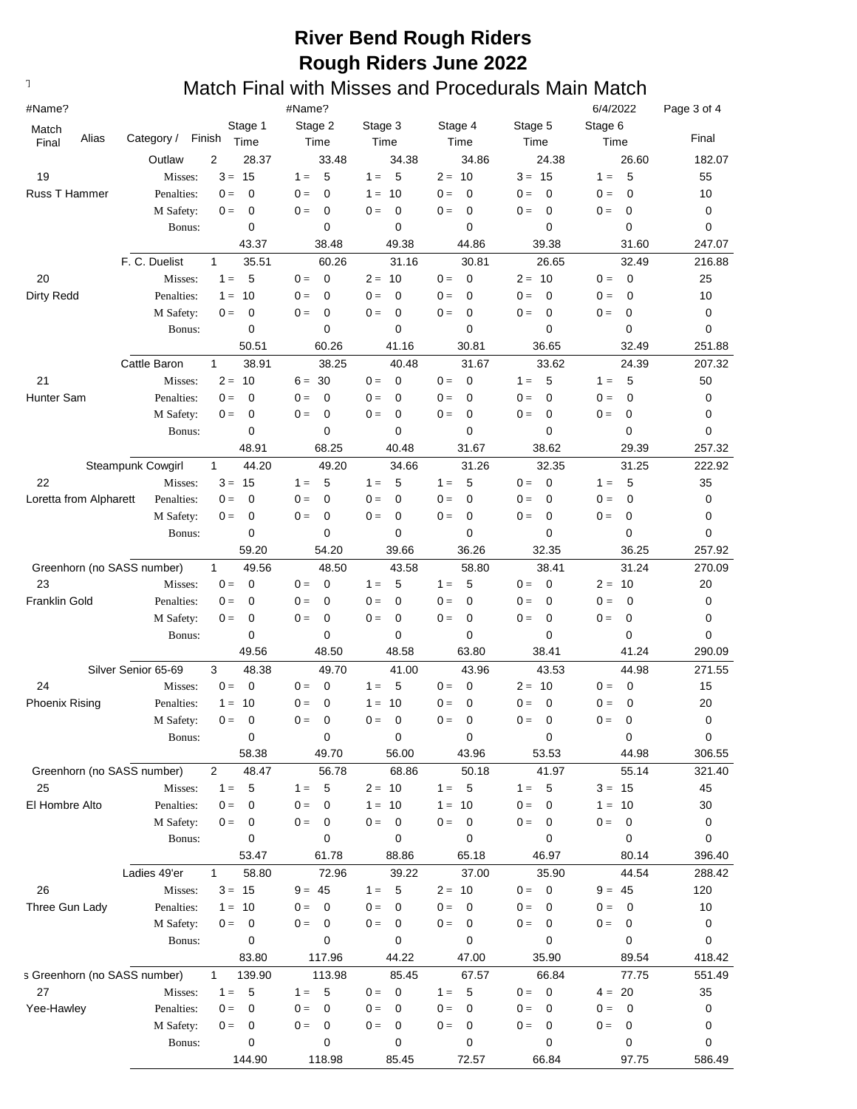| #Name?                       |                     |                         | #Name?               |                         |                         |                                  | 6/4/2022                | Page 3 of 4 |
|------------------------------|---------------------|-------------------------|----------------------|-------------------------|-------------------------|----------------------------------|-------------------------|-------------|
| Match                        |                     | Stage 1                 | Stage 2              | Stage 3                 | Stage 4                 | Stage 5                          | Stage 6                 |             |
| Alias<br>Final               | Category /          | Finish<br>Time          | Time                 | Time                    | Time                    | Time                             | Time                    | Final       |
|                              | Outlaw              | $\overline{2}$<br>28.37 | 33.48                | 34.38                   | 34.86                   | 24.38                            | 26.60                   | 182.07      |
| 19                           | Misses:             | $3 = 15$                | 5<br>$1 =$           | 5<br>$1 =$              | $2 = 10$                | $3 = 15$                         | 5<br>$1 =$              | 55          |
| Russ T Hammer                | Penalties:          | $\Omega$<br>$0 =$       | $0 =$<br>0           | 10<br>$1 =$             | $\Omega$<br>$0 =$       | $\Omega$<br>$0 =$                | $\mathbf 0$<br>$0 =$    | 10          |
|                              | M Safety:           | 0<br>$0 =$              | $0 =$<br>0           | $\overline{0}$<br>$0 =$ | $\mathbf 0$<br>$0 =$    | $\mathbf 0$<br>$0 =$             | $\mathbf 0$<br>$0 =$    | 0           |
|                              | Bonus:              | 0                       | $\mathbf 0$          | 0                       | 0                       | $\mathbf 0$                      | 0                       | 0           |
|                              |                     | 43.37                   | 38.48                | 49.38                   | 44.86                   | 39.38                            | 31.60                   | 247.07      |
|                              | F. C. Duelist       | 35.51<br>$\mathbf{1}$   | 60.26                | 31.16                   | 30.81                   | 26.65                            | 32.49                   | 216.88      |
| 20                           | Misses:             | 5<br>$1 =$              | $0 =$<br>$\mathbf 0$ | $2 = 10$                | $\overline{0}$<br>$0 =$ | $2 = 10$                         | $\overline{0}$<br>$0 =$ | 25          |
| <b>Dirty Redd</b>            | Penalties:          | 10<br>$1 =$             | $0 =$<br>$\mathbf 0$ | $0 =$<br>$\mathbf 0$    | $0 =$<br>0              | $\overline{0}$<br>$0 =$          | $\mathbf 0$<br>$0 =$    | 10          |
|                              | M Safety:           | 0<br>$0 =$              | $0 =$<br>$\mathbf 0$ | $0 =$<br>0              | 0<br>$0 =$              | $\mathbf 0$<br>$0 =$             | $\mathbf 0$<br>$0 =$    | 0           |
|                              | Bonus:              | 0                       | $\mathbf 0$          | 0                       | 0                       | $\mathbf 0$                      | 0                       | 0           |
|                              |                     | 50.51                   | 60.26                | 41.16                   | 30.81                   | 36.65                            | 32.49                   | 251.88      |
|                              | Cattle Baron        | 38.91<br>$\mathbf{1}$   | 38.25                | 40.48                   | 31.67                   | 33.62                            | 24.39                   | 207.32      |
| 21                           | Misses:             | $2 =$<br>10             | $6 = 30$             | $\mathbf 0$<br>$0 =$    | $\overline{0}$<br>$0 =$ | 5<br>$1 =$                       | 5<br>$1 =$              | 50          |
| Hunter Sam                   | Penalties:          | 0<br>$0 =$              | $0 =$<br>$\mathbf 0$ | $\mathbf 0$<br>$0 =$    | $\mathbf 0$<br>$0 =$    | $\mathbf 0$<br>$0 =$             | $\mathbf 0$<br>$0 =$    | 0           |
|                              | M Safety:           | $\mathbf 0$<br>$0 =$    | $0 =$<br>$\mathbf 0$ | $\mathbf 0$<br>$0 =$    | $\mathbf 0$<br>$0 =$    | $\mathbf 0$<br>$0 =$             | $\mathbf 0$<br>$0 =$    | 0           |
|                              | Bonus:              | $\mathbf 0$             | 0                    | 0                       | 0                       | $\mathbf 0$                      | 0                       | 0           |
|                              |                     | 48.91                   | 68.25                | 40.48                   | 31.67                   | 38.62                            | 29.39                   | 257.32      |
|                              | Steampunk Cowgirl   | $\mathbf{1}$<br>44.20   | 49.20                | 34.66                   | 31.26                   | 32.35                            | 31.25                   | 222.92      |
| 22                           | Misses:             | $3 =$<br>15             | $1 =$<br>5           | 5<br>$1 =$              | 5<br>$1 =$              | $0 =$<br>$\overline{\mathbf{0}}$ | 5<br>$1 =$              | 35          |
| Loretta from Alpharett       | Penalties:          | 0<br>$0 =$              | $0 =$<br>0           | $\mathbf 0$<br>$0 =$    | $0 =$<br>0              | $0 =$<br>0                       | $\mathbf 0$<br>$0 =$    | 0           |
|                              | M Safety:           | 0<br>$0 =$              | $0 =$<br>0           | $0 =$<br>$\mathbf 0$    | $0 =$<br>0              | $0 =$<br>$\mathbf 0$             | $0 =$<br>0              | 0           |
|                              | Bonus:              | $\mathbf 0$             | 0                    | 0                       | 0                       | $\mathbf 0$                      | 0                       | 0           |
|                              |                     | 59.20                   | 54.20                | 39.66                   | 36.26                   | 32.35                            | 36.25                   | 257.92      |
| Greenhorn (no SASS number)   |                     | 49.56<br>$\mathbf{1}$   | 48.50                | 43.58                   | 58.80                   | 38.41                            | 31.24                   | 270.09      |
| 23                           | Misses:             | $\mathbf 0$<br>$0 =$    | $\mathbf 0$<br>$0 =$ | 5<br>$1 =$              | 5<br>$1 =$              | $\overline{0}$<br>$0 =$          | $2 = 10$                | 20          |
| <b>Franklin Gold</b>         | Penalties:          | $\mathbf 0$<br>$0 =$    | $\mathbf 0$<br>$0 =$ | $\mathbf 0$<br>$0 =$    | $\mathbf 0$<br>$0 =$    | $\overline{0}$<br>$0 =$          | $\mathbf 0$<br>$0 =$    | 0           |
|                              | M Safety:           | 0<br>$0 =$              | $\mathbf 0$<br>$0 =$ | $\mathbf 0$<br>$0 =$    | $\mathbf 0$<br>$0 =$    | $\overline{0}$<br>$0 =$          | $\mathbf 0$<br>$0 =$    | 0           |
|                              | Bonus:              | $\mathbf 0$             | $\mathbf 0$          | 0                       | 0                       | $\mathbf 0$                      | 0                       | 0           |
|                              |                     | 49.56                   | 48.50                | 48.58                   | 63.80                   | 38.41                            | 41.24                   | 290.09      |
|                              | Silver Senior 65-69 | 3<br>48.38              | 49.70                | 41.00                   | 43.96                   | 43.53                            | 44.98                   | 271.55      |
| 24                           | Misses:             | $0 =$<br>$\mathbf 0$    | 0<br>$0 =$           | 5<br>$1 =$              | $\mathbf 0$<br>$0 =$    | $2 = 10$                         | $0 =$<br>$\mathbf 0$    | 15          |
| <b>Phoenix Rising</b>        | Penalties:          | 10<br>$1 =$             | 0<br>$0 =$           | 10<br>$1 =$             | $\mathbf 0$<br>$0 =$    | $\overline{0}$<br>$0 =$          | 0<br>$0 =$              | 20          |
|                              | M Safety:           | 0<br>$0 =$              | $0 =$<br>0           | $0 =$<br>$\mathbf 0$    | $0 =$<br>0              | $\overline{0}$<br>$0 =$          | $0 =$<br>$\Omega$       | 0           |
|                              | Bonus:              | 0                       | 0                    | 0                       | 0                       | 0                                | 0                       | 0           |
|                              |                     | 58.38                   | 49.70                | 56.00                   | 43.96                   | 53.53                            | 44.98                   | 306.55      |
| Greenhorn (no SASS number)   |                     | 48.47<br>$\overline{2}$ | 56.78                | 68.86                   | 50.18                   | 41.97                            | 55.14                   | 321.40      |
| 25                           | Misses:             | $1 =$<br>5              | 5<br>$1 =$           | $2 = 10$                | 5<br>$1 =$              | $-5$<br>$1 =$                    | $3 = 15$                | 45          |
| El Hombre Alto               | Penalties:          | $0 =$<br>0              | $0 =$<br>0           | $1 = 10$                | $1 =$<br>10             | $0 =$<br>$\mathbf 0$             | $1 = 10$                | 30          |
|                              | M Safety:           | $\mathbf 0$<br>$0 =$    | $0 =$<br>0           | $\mathbf 0$<br>$0 =$    | $\mathbf 0$<br>$0 =$    | $0 =$<br>$\overline{0}$          | 0<br>$0 =$              | 0           |
|                              | Bonus:              | 0                       | 0                    | 0                       | 0                       | $\mathbf 0$                      | 0                       | 0           |
|                              |                     | 53.47                   | 61.78                | 88.86                   | 65.18                   | 46.97                            | 80.14                   | 396.40      |
|                              | Ladies 49'er        | 58.80<br>$\mathbf{1}$   | 72.96                | 39.22                   | 37.00                   | 35.90                            | 44.54                   | 288.42      |
| 26                           | Misses:             | $3 = 15$                | $9 = 45$             | -5<br>$1 =$             | $2 = 10$                | $0 = 0$                          | $9 = 45$                | 120         |
| Three Gun Lady               | Penalties:          | 10<br>$1 =$             | $0 =$<br>0           | $\Omega$<br>$0 =$       | $0 =$<br>$\mathbf 0$    | $\mathbf 0$<br>$0 =$             | $\mathbf 0$<br>$0 =$    | 10          |
|                              | M Safety:           | 0<br>$0 =$              | 0<br>$0 =$           | $\mathbf 0$<br>$0 =$    | 0<br>$0 =$              | 0<br>$0 =$                       | 0<br>$0 =$              | 0           |
|                              | Bonus:              | 0                       | 0                    | 0                       | 0                       | $\mathbf 0$                      | 0                       | 0           |
|                              |                     | 83.80                   | 117.96               | 44.22                   | 47.00                   | 35.90                            | 89.54                   | 418.42      |
| s Greenhorn (no SASS number) |                     | 139.90<br>$\mathbf{1}$  | 113.98               | 85.45                   | 67.57                   | 66.84                            | 77.75                   | 551.49      |
| 27                           | Misses:             | 5<br>$1 =$              | 5<br>$1 =$           | $\overline{0}$<br>$0 =$ | 5<br>$1 =$              | $0 = 0$                          | $4 = 20$                | 35          |
| Yee-Hawley                   | Penalties:          | 0<br>$0 =$              | $0 =$<br>0           | $0 =$<br>0              | 0<br>$0 =$              | $0 =$<br>$\overline{0}$          | $\mathbf 0$<br>$0 =$    | 0           |
|                              | M Safety:           | 0<br>$0 =$              | 0<br>$0 =$           | $\mathbf 0$<br>$0 =$    | $\mathbf 0$<br>$0 =$    | $\mathbf 0$<br>$0 =$             | $\pmb{0}$<br>$0 =$      | 0           |
|                              | Bonus:              | 0                       | 0                    | 0                       | 0                       | 0                                | 0                       | 0           |
|                              |                     | 144.90                  | 118.98               | 85.45                   | 72.57                   | 66.84                            | 97.75                   | 586.49      |